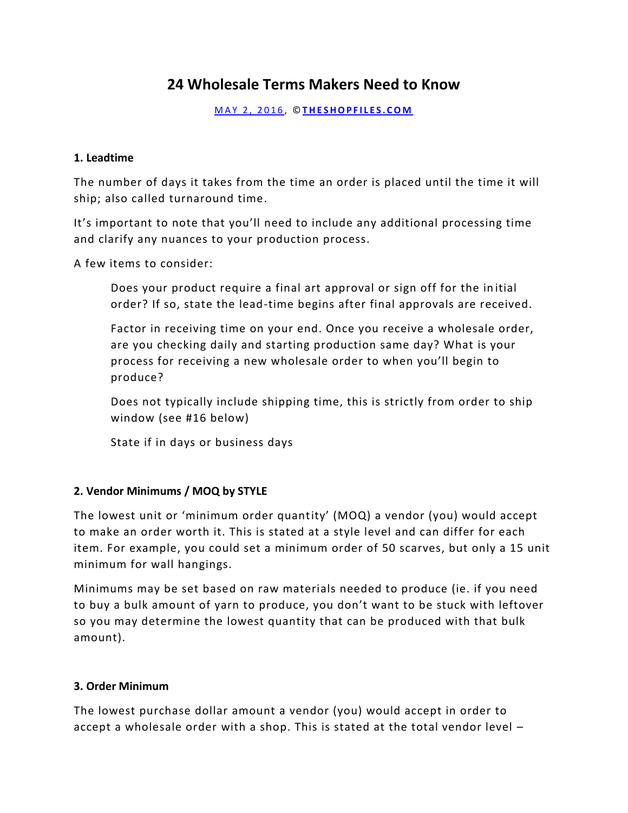# **24 Wholesale Terms Makers Need to Know**

M A Y 2 , 2 0 1 6 , © **[T H E S H O P F I L E S . C O M](http://www.theshopfiles.com/24-wholesale-terms-makers-need-know/)**

#### **1. Leadtime**

The number of days it takes from the time an order is placed until the time it will ship; also called turnaround time.

It's important to note that you'll need to include any additional processing time and clarify any nuances to your production process.

A few items to consider:

Does your product require a final art approval or sign off for the in itial order? If so, state the lead-time begins after final approvals are received.

Factor in receiving time on your end. Once you receive a wholesale order, are you checking daily and starting production same day? What is your process for receiving a new wholesale order to when you'll begin to produce?

Does not typically include shipping time, this is strictly from order to ship window (see #16 below)

State if in days or business days

## **2. Vendor Minimums / MOQ by STYLE**

The lowest unit or 'minimum order quantity' (MOQ) a vendor (you) would accept to make an order worth it. This is stated at a style level and can differ for each item. For example, you could set a minimum order of 50 scarves, but only a 15 unit minimum for wall hangings.

Minimums may be set based on raw materials needed to produce (ie. if you need to buy a bulk amount of yarn to produce, you don't want to be stuck with leftover so you may determine the lowest quantity that can be produced with that bulk amount).

## **3. Order Minimum**

The lowest purchase dollar amount a vendor (you) would accept in order to accept a wholesale order with a shop. This is stated at the total vendor level –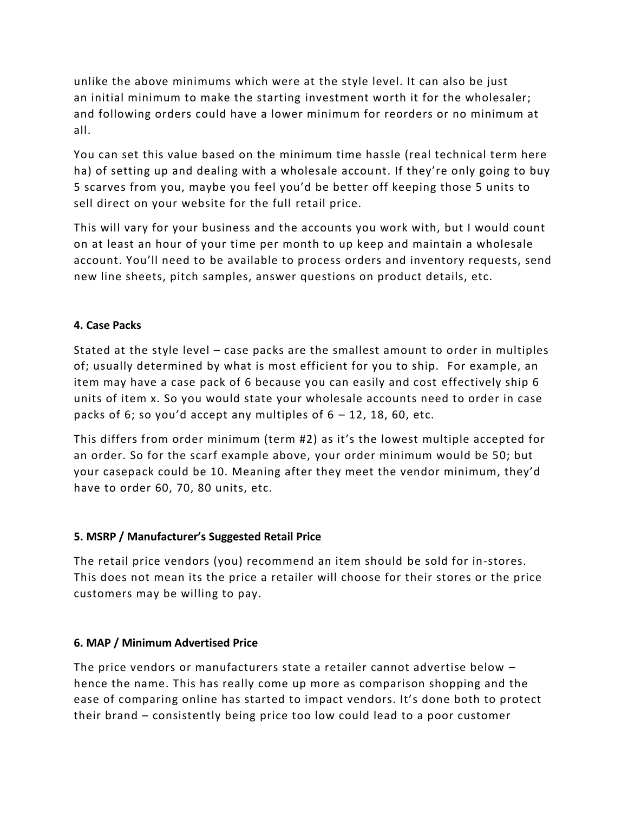unlike the above minimums which were at the style level. It can also be just an initial minimum to make the starting investment worth it for the wholesaler; and following orders could have a lower minimum for reorders or no minimum at all.

You can set this value based on the minimum time hassle (real technical term here ha) of setting up and dealing with a wholesale account. If they're only going to buy 5 scarves from you, maybe you feel you'd be better off keeping those 5 units to sell direct on your website for the full retail price.

This will vary for your business and the accounts you work with, but I would count on at least an hour of your time per month to up keep and maintain a wholesale account. You'll need to be available to process orders and inventory requests, send new line sheets, pitch samples, answer questions on product details, etc.

## **4. Case Packs**

Stated at the style level – case packs are the smallest amount to order in multiples of; usually determined by what is most efficient for you to ship. For example, an item may have a case pack of 6 because you can easily and cost effectively ship 6 units of item x. So you would state your wholesale accounts need to order in case packs of 6; so you'd accept any multiples of  $6 - 12$ , 18, 60, etc.

This differs from order minimum (term #2) as it's the lowest multiple accepted for an order. So for the scarf example above, your order minimum would be 50; but your casepack could be 10. Meaning after they meet the vendor minimum, they'd have to order 60, 70, 80 units, etc.

## **5. MSRP / Manufacturer's Suggested Retail Price**

The retail price vendors (you) recommend an item should be sold for in-stores. This does not mean its the price a retailer will choose for their stores or the price customers may be willing to pay.

## **6. MAP / Minimum Advertised Price**

The price vendors or manufacturers state a retailer cannot advertise below – hence the name. This has really come up more as comparison shopping and the ease of comparing online has started to impact vendors. It's done both to protect their brand – consistently being price too low could lead to a poor customer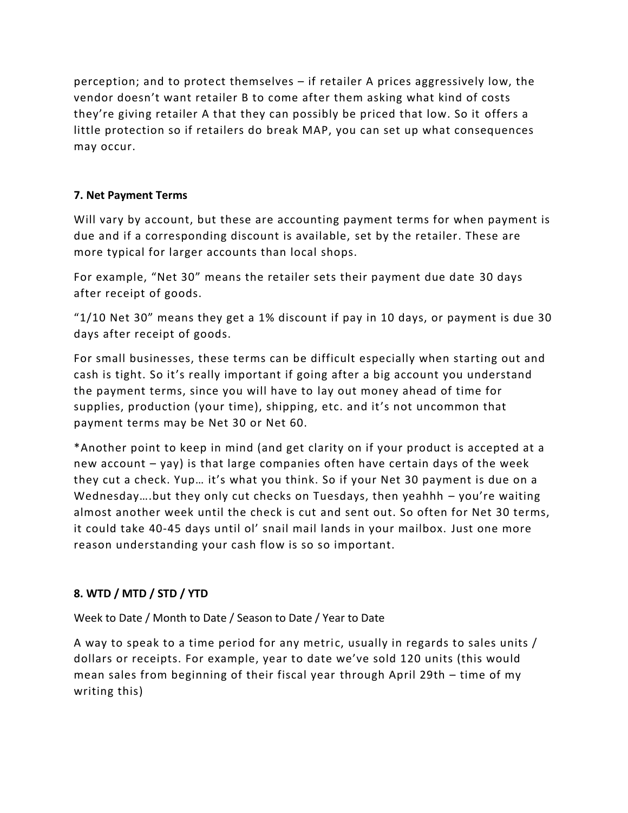perception; and to protect themselves – if retailer A prices aggressively low, the vendor doesn't want retailer B to come after them asking what kind of costs they're giving retailer A that they can possibly be priced that low. So it offers a little protection so if retailers do break MAP, you can set up what consequences may occur.

# **7. Net Payment Terms**

Will vary by account, but these are accounting payment terms for when payment is due and if a corresponding discount is available, set by the retailer. These are more typical for larger accounts than local shops.

For example, "Net 30" means the retailer sets their payment due date 30 days after receipt of goods.

"1/10 Net 30" means they get a 1% discount if pay in 10 days, or payment is due 30 days after receipt of goods.

For small businesses, these terms can be difficult especially when starting out and cash is tight. So it's really important if going after a big account you understand the payment terms, since you will have to lay out money ahead of time for supplies, production (your time), shipping, etc. and it's not uncommon that payment terms may be Net 30 or Net 60.

\*Another point to keep in mind (and get clarity on if your product is accepted at a new account – yay) is that large companies often have certain days of the week they cut a check. Yup… it's what you think. So if your Net 30 payment is due on a Wednesday….but they only cut checks on Tuesdays, then yeahhh – you're waiting almost another week until the check is cut and sent out. So often for Net 30 terms, it could take 40-45 days until ol' snail mail lands in your mailbox. Just one more reason understanding your cash flow is so so important.

# **8. WTD / MTD / STD / YTD**

Week to Date / Month to Date / Season to Date / Year to Date

A way to speak to a time period for any metric, usually in regards to sales units / dollars or receipts. For example, year to date we've sold 120 units (this would mean sales from beginning of their fiscal year through April 29th – time of my writing this)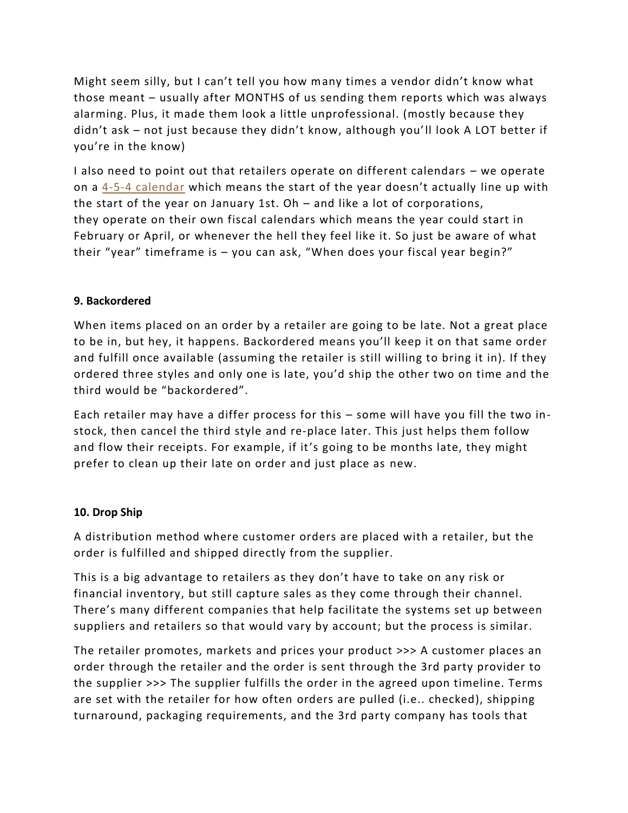Might seem silly, but I can't tell you how many times a vendor didn't know what those meant – usually after MONTHS of us sending them reports which was always alarming. Plus, it made them look a little unprofessional. (mostly because they didn't ask – not just because they didn't know, although you'll look A LOT better if you're in the know)

I also need to point out that retailers operate on different calendars – we operate on a [4-5-4 calendar](https://nrf.com/resources/4-5-4-calendar) which means the start of the year doesn't actually line up with the start of the year on January 1st. Oh – and like a lot of corporations, they operate on their own fiscal calendars which means the year could start in February or April, or whenever the hell they feel like it. So just be aware of what their "year" timeframe is – you can ask, "When does your fiscal year begin?"

## **9. Backordered**

When items placed on an order by a retailer are going to be late. Not a great place to be in, but hey, it happens. Backordered means you'll keep it on that same order and fulfill once available (assuming the retailer is still willing to bring it in). If they ordered three styles and only one is late, you'd ship the other two on time and the third would be "backordered".

Each retailer may have a differ process for this – some will have you fill the two instock, then cancel the third style and re-place later. This just helps them follow and flow their receipts. For example, if it's going to be months late, they might prefer to clean up their late on order and just place as new.

## **10. Drop Ship**

A distribution method where customer orders are placed with a retailer, but the order is fulfilled and shipped directly from the supplier.

This is a big advantage to retailers as they don't have to take on any risk or financial inventory, but still capture sales as they come through their channel. There's many different companies that help facilitate the systems set up between suppliers and retailers so that would vary by account; but the process is similar.

The retailer promotes, markets and prices your product >>> A customer places an order through the retailer and the order is sent through the 3rd party provider to the supplier >>> The supplier fulfills the order in the agreed upon timeline. Terms are set with the retailer for how often orders are pulled (i.e.. checked), shipping turnaround, packaging requirements, and the 3rd party company has tools that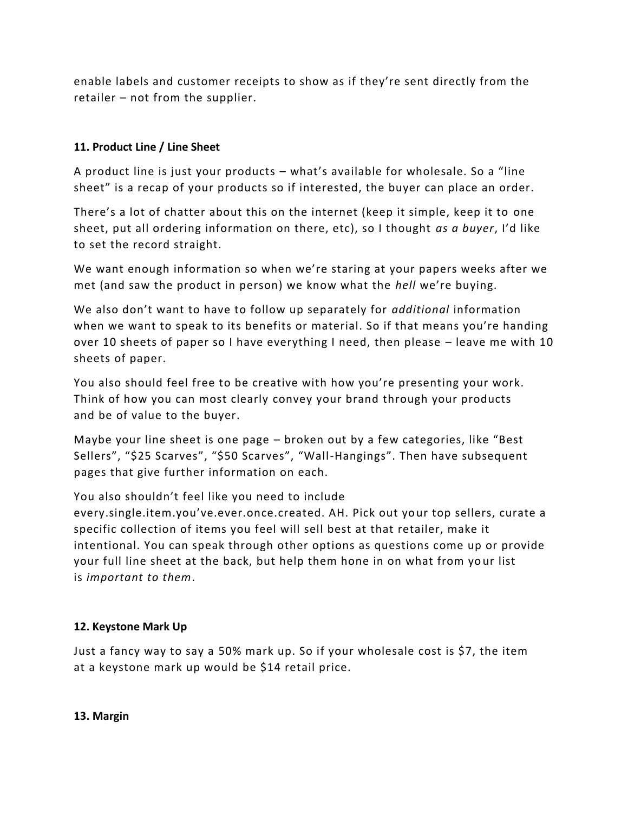enable labels and customer receipts to show as if they're sent directly from the retailer – not from the supplier.

## **11. Product Line / Line Sheet**

A product line is just your products – what's available for wholesale. So a "line sheet" is a recap of your products so if interested, the buyer can place an order.

There's a lot of chatter about this on the internet (keep it simple, keep it to one sheet, put all ordering information on there, etc), so I thought *as a buyer*, I'd like to set the record straight.

We want enough information so when we're staring at your papers weeks after we met (and saw the product in person) we know what the *hell* we're buying.

We also don't want to have to follow up separately for *additional* information when we want to speak to its benefits or material. So if that means you're handing over 10 sheets of paper so I have everything I need, then please – leave me with 10 sheets of paper.

You also should feel free to be creative with how you're presenting your work. Think of how you can most clearly convey your brand through your products and be of value to the buyer.

Maybe your line sheet is one page – broken out by a few categories, like "Best Sellers", "\$25 Scarves", "\$50 Scarves", "Wall-Hangings". Then have subsequent pages that give further information on each.

You also shouldn't feel like you need to include

every.single.item.you've.ever.once.created. AH. Pick out your top sellers, curate a specific collection of items you feel will sell best at that retailer, make it intentional. You can speak through other options as questions come up or provide your full line sheet at the back, but help them hone in on what from your list is *important to them*.

## **12. Keystone Mark Up**

Just a fancy way to say a 50% mark up. So if your wholesale cost is \$7, the item at a keystone mark up would be \$14 retail price.

**13. Margin**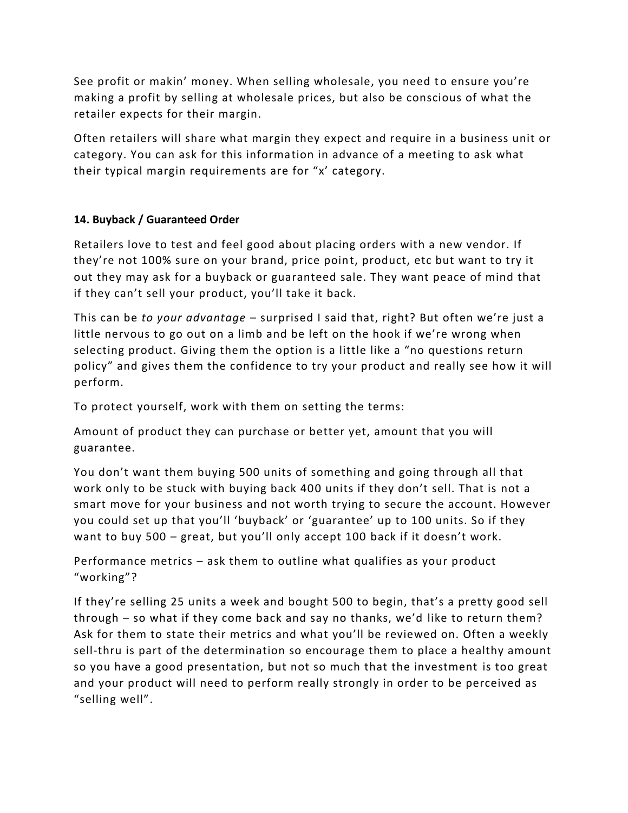See profit or makin' money. When selling wholesale, you need to ensure you're making a profit by selling at wholesale prices, but also be conscious of what the retailer expects for their margin.

Often retailers will share what margin they expect and require in a business unit or category. You can ask for this information in advance of a meeting to ask what their typical margin requirements are for "x' category.

# **14. Buyback / Guaranteed Order**

Retailers love to test and feel good about placing orders with a new vendor. If they're not 100% sure on your brand, price point, product, etc but want to try it out they may ask for a buyback or guaranteed sale. They want peace of mind that if they can't sell your product, you'll take it back.

This can be *to your advantage* – surprised I said that, right? But often we're just a little nervous to go out on a limb and be left on the hook if we're wrong when selecting product. Giving them the option is a little like a "no questions return policy" and gives them the confidence to try your product and really see how it will perform.

To protect yourself, work with them on setting the terms:

Amount of product they can purchase or better yet, amount that you will guarantee.

You don't want them buying 500 units of something and going through all that work only to be stuck with buying back 400 units if they don't sell. That is not a smart move for your business and not worth trying to secure the account. However you could set up that you'll 'buyback' or 'guarantee' up to 100 units. So if they want to buy 500 – great, but you'll only accept 100 back if it doesn't work.

Performance metrics – ask them to outline what qualifies as your product "working"?

If they're selling 25 units a week and bought 500 to begin, that's a pretty good sell through – so what if they come back and say no thanks, we'd like to return them? Ask for them to state their metrics and what you'll be reviewed on. Often a weekly sell-thru is part of the determination so encourage them to place a healthy amount so you have a good presentation, but not so much that the investment is too great and your product will need to perform really strongly in order to be perceived as "selling well".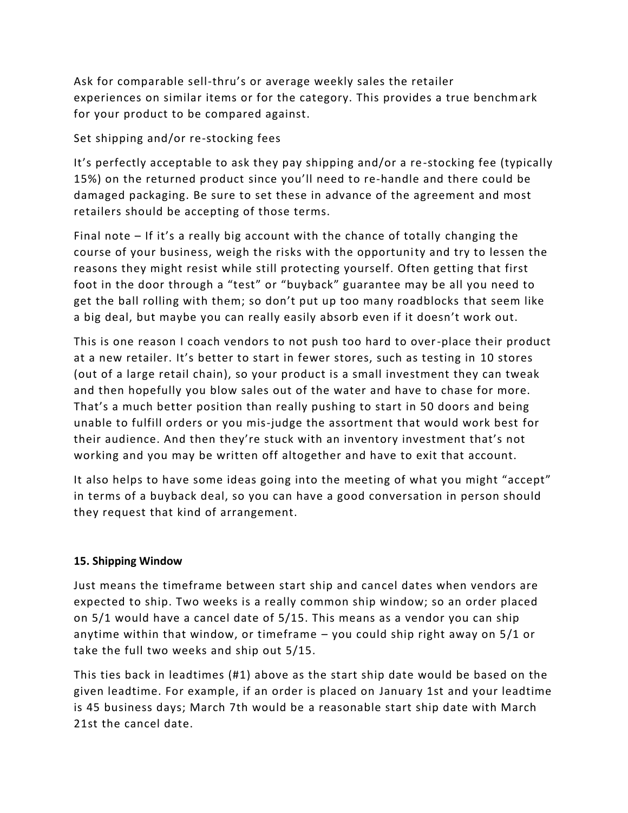Ask for comparable sell-thru's or average weekly sales the retailer experiences on similar items or for the category. This provides a true benchmark for your product to be compared against.

## Set shipping and/or re-stocking fees

It's perfectly acceptable to ask they pay shipping and/or a re -stocking fee (typically 15%) on the returned product since you'll need to re-handle and there could be damaged packaging. Be sure to set these in advance of the agreement and most retailers should be accepting of those terms.

Final note – If it's a really big account with the chance of totally changing the course of your business, weigh the risks with the opportunity and try to lessen the reasons they might resist while still protecting yourself. Often getting that first foot in the door through a "test" or "buyback" guarantee may be all you need to get the ball rolling with them; so don't put up too many roadblocks that seem like a big deal, but maybe you can really easily absorb even if it doesn't work out.

This is one reason I coach vendors to not push too hard to over-place their product at a new retailer. It's better to start in fewer stores, such as testing in 10 stores (out of a large retail chain), so your product is a small investment they can tweak and then hopefully you blow sales out of the water and have to chase for more. That's a much better position than really pushing to start in 50 doors and being unable to fulfill orders or you mis-judge the assortment that would work best for their audience. And then they're stuck with an inventory investment that's not working and you may be written off altogether and have to exit that account.

It also helps to have some ideas going into the meeting of what you might "accept" in terms of a buyback deal, so you can have a good conversation in person should they request that kind of arrangement.

## **15. Shipping Window**

Just means the timeframe between start ship and cancel dates when vendors are expected to ship. Two weeks is a really common ship window; so an order placed on 5/1 would have a cancel date of 5/15. This means as a vendor you can ship anytime within that window, or timeframe – you could ship right away on 5/1 or take the full two weeks and ship out 5/15.

This ties back in leadtimes (#1) above as the start ship date would be based on the given leadtime. For example, if an order is placed on January 1st and your leadtime is 45 business days; March 7th would be a reasonable start ship date with March 21st the cancel date.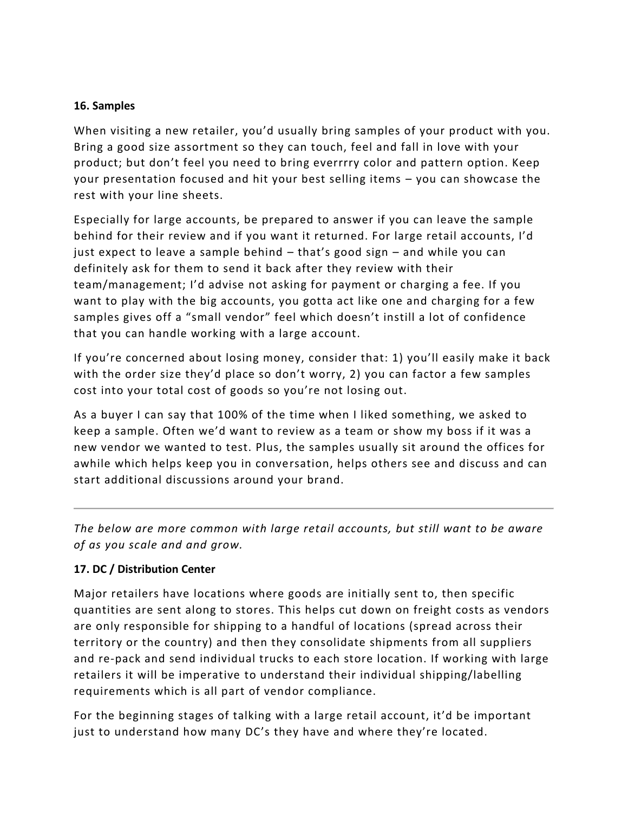#### **16. Samples**

When visiting a new retailer, you'd usually bring samples of your product with you. Bring a good size assortment so they can touch, feel and fall in love with your product; but don't feel you need to bring everrrry color and pattern option. Keep your presentation focused and hit your best selling items – you can showcase the rest with your line sheets.

Especially for large accounts, be prepared to answer if you can leave the sample behind for their review and if you want it returned. For large retail accounts, I'd just expect to leave a sample behind – that's good sign – and while you can definitely ask for them to send it back after they review with their team/management; I'd advise not asking for payment or charging a fee. If you want to play with the big accounts, you gotta act like one and charging for a few samples gives off a "small vendor" feel which doesn't instill a lot of confidence that you can handle working with a large account.

If you're concerned about losing money, consider that: 1) you'll easily make it back with the order size they'd place so don't worry, 2) you can factor a few samples cost into your total cost of goods so you're not losing out.

As a buyer I can say that 100% of the time when I liked something, we asked to keep a sample. Often we'd want to review as a team or show my boss if it was a new vendor we wanted to test. Plus, the samples usually sit around the offices for awhile which helps keep you in conversation, helps others see and discuss and can start additional discussions around your brand.

*The below are more common with large retail accounts, but still want to be aware of as you scale and and grow.*

## **17. DC / Distribution Center**

Major retailers have locations where goods are initially sent to, then specific quantities are sent along to stores. This helps cut down on freight costs as vendors are only responsible for shipping to a handful of locations (spread across their territory or the country) and then they consolidate shipments from all suppliers and re-pack and send individual trucks to each store location. If working with large retailers it will be imperative to understand their individual shipping/labelling requirements which is all part of vendor compliance.

For the beginning stages of talking with a large retail account, it'd be important just to understand how many DC's they have and where they're located.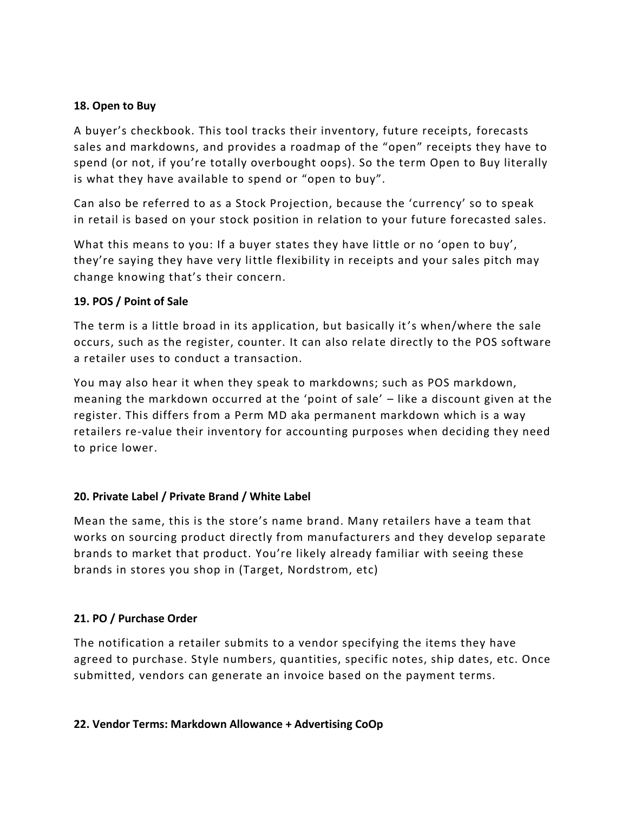#### **18. Open to Buy**

A buyer's checkbook. This tool tracks their inventory, future receipts, forecasts sales and markdowns, and provides a roadmap of the "open" receipts they have to spend (or not, if you're totally overbought oops). So the term Open to Buy literally is what they have available to spend or "open to buy".

Can also be referred to as a Stock Projection, because the 'currency' so to speak in retail is based on your stock position in relation to your future forecasted sales.

What this means to you: If a buyer states they have little or no 'open to buy', they're saying they have very little flexibility in receipts and your sales pitch may change knowing that's their concern.

## **19. POS / Point of Sale**

The term is a little broad in its application, but basically it's when/where the sale occurs, such as the register, counter. It can also relate directly to the POS software a retailer uses to conduct a transaction.

You may also hear it when they speak to markdowns; such as POS markdown, meaning the markdown occurred at the 'point of sale' – like a discount given at the register. This differs from a Perm MD aka permanent markdown which is a way retailers re-value their inventory for accounting purposes when deciding they need to price lower.

## **20. Private Label / Private Brand / White Label**

Mean the same, this is the store's name brand. Many retailers have a team that works on sourcing product directly from manufacturers and they develop separate brands to market that product. You're likely already familiar with seeing these brands in stores you shop in (Target, Nordstrom, etc)

## **21. PO / Purchase Order**

The notification a retailer submits to a vendor specifying the items they have agreed to purchase. Style numbers, quantities, specific notes, ship dates, etc. Once submitted, vendors can generate an invoice based on the payment terms.

#### **22. Vendor Terms: Markdown Allowance + Advertising CoOp**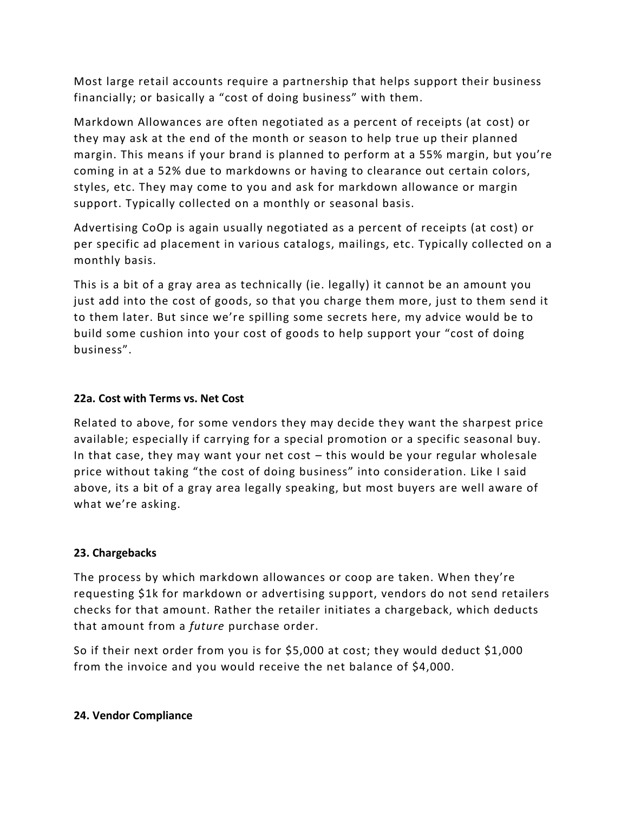Most large retail accounts require a partnership that helps support their business financially; or basically a "cost of doing business" with them.

Markdown Allowances are often negotiated as a percent of receipts (at cost) or they may ask at the end of the month or season to help true up their planned margin. This means if your brand is planned to perform at a 55% margin, but you're coming in at a 52% due to markdowns or having to clearance out certain colors, styles, etc. They may come to you and ask for markdown allowance or margin support. Typically collected on a monthly or seasonal basis.

Advertising CoOp is again usually negotiated as a percent of receipts (at cost) or per specific ad placement in various catalogs, mailings, etc. Typically collected on a monthly basis.

This is a bit of a gray area as technically (ie. legally) it cannot be an amount you just add into the cost of goods, so that you charge them more, just to them send it to them later. But since we're spilling some secrets here, my advice would be to build some cushion into your cost of goods to help support your "cost of doing business".

## **22a. Cost with Terms vs. Net Cost**

Related to above, for some vendors they may decide they want the sharpest price available; especially if carrying for a special promotion or a specific seasonal buy. In that case, they may want your net cost – this would be your regular wholesale price without taking "the cost of doing business" into consider ation. Like I said above, its a bit of a gray area legally speaking, but most buyers are well aware of what we're asking.

# **23. Chargebacks**

The process by which markdown allowances or coop are taken. When they're requesting \$1k for markdown or advertising support, vendors do not send retailers checks for that amount. Rather the retailer initiates a chargeback, which deducts that amount from a *future* purchase order.

So if their next order from you is for \$5,000 at cost; they would deduct \$1,000 from the invoice and you would receive the net balance of \$4,000.

## **24. Vendor Compliance**